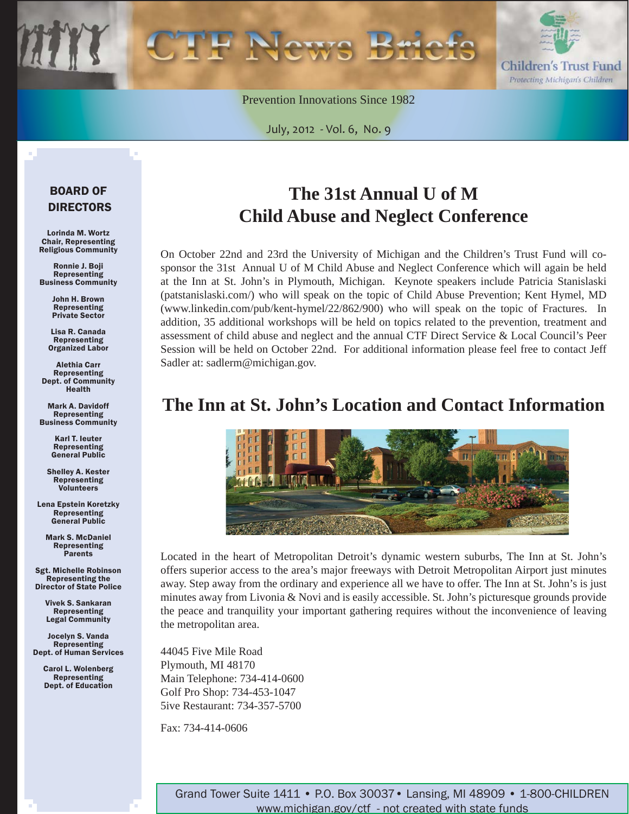

Prevention Innovations Since 1982

July, 2012 - Vol. 6, No. 9

#### BOARD OF DIRECTORS

Lorinda M. Wortz Chair, Representing Religious Community

Ronnie J. Boji Representing Business Community

> John H. Brown Representing Private Sector

Lisa R. Canada Representing Organized Labor

Alethia Carr Representing Dept. of Community Health

Mark A. Davidoff Representing Business Community

> Karl T. Ieuter Representing General Public

Shelley A. Kester Representing Volunteers

Lena Epstein Koretzky Representing General Public

Mark S. McDaniel Representing **Parents** 

Sgt. Michelle Robinson Representing the Director of State Police

> Vivek S. Sankaran Representing Legal Community

Jocelyn S. Vanda Representing Dept. of Human Services

> Carol L. Wolenberg Representing Dept. of Education

# **The 31st Annual U of M Child Abuse and Neglect Conference**

On October 22nd and 23rd the University of Michigan and the Children's Trust Fund will cosponsor the 31st Annual U of M Child Abuse and Neglect Conference which will again be held at the Inn at St. John's in Plymouth, Michigan. Keynote speakers include Patricia Stanislaski [\(patstanislaski.com/](www.patstanislaski.com)) who will speak on the topic of Child Abuse Prevention; Kent Hymel, MD (www.linkedin.com/pub/kent-hymel/22/862/900) who will speak on the topic of Fractures. In addition, 35 additional workshops will be held on topics related to the prevention, treatment and assessment of child abuse and neglect and the annual CTF Direct Service & Local Council's Peer Session will be held on October 22nd. For additional information please feel free to contact Jeff Sadler at: sadlerm@michigan.gov.

### **The Inn at St. John's Location and Contact Information**



Located in the heart of Metropolitan Detroit's dynamic western suburbs, The Inn at St. John's offers superior access to the area's major freeways with Detroit Metropolitan Airport just minutes away. Step away from the ordinary and experience all we have to offer. The Inn at St. John's is just minutes away from Livonia & Novi and is easily accessible. St. John's picturesque grounds provide the peace and tranquility your important gathering requires without the inconvenience of leaving the metropolitan area.

44045 Five Mile Road Plymouth, MI 48170 Main Telephone: 734-414-0600 Golf Pro Shop: 734-453-1047 5ive Restaurant: 734-357-5700

Fax: 734-414-0606

Grand Tower Suite 1411 • P.O. Box 30037• Lansing, MI 48909 • 1-800-CHILDREN www.michigan.gov/ctf - not created with state funds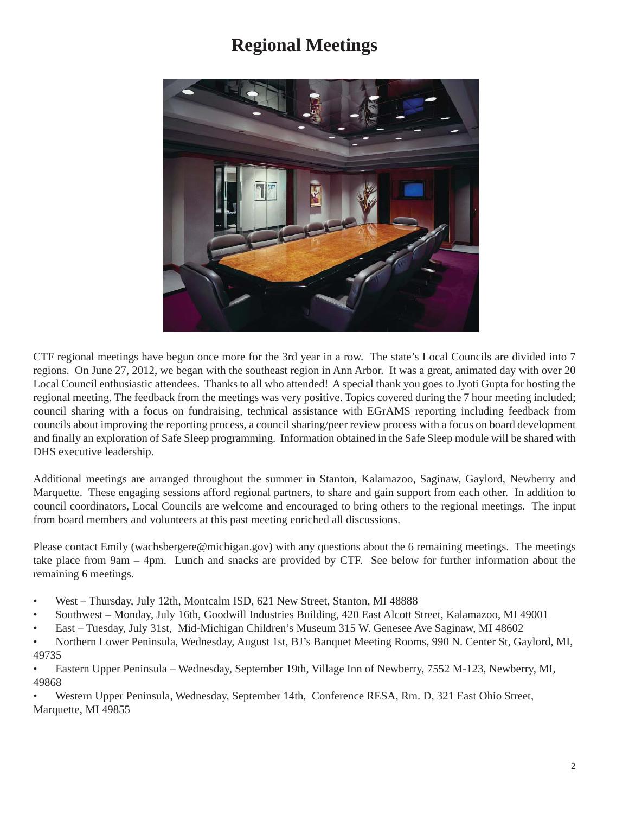## **Regional Meetings**



CTF regional meetings have begun once more for the 3rd year in a row. The state's Local Councils are divided into 7 regions. On June 27, 2012, we began with the southeast region in Ann Arbor. It was a great, animated day with over 20 Local Council enthusiastic attendees. Thanks to all who attended! A special thank you goes to Jyoti Gupta for hosting the regional meeting. The feedback from the meetings was very positive. Topics covered during the 7 hour meeting included; council sharing with a focus on fundraising, technical assistance with EGrAMS reporting including feedback from councils about improving the reporting process, a council sharing/peer review process with a focus on board development and finally an exploration of Safe Sleep programming. Information obtained in the Safe Sleep module will be shared with DHS executive leadership.

Additional meetings are arranged throughout the summer in Stanton, Kalamazoo, Saginaw, Gaylord, Newberry and Marquette. These engaging sessions afford regional partners, to share and gain support from each other. In addition to council coordinators, Local Councils are welcome and encouraged to bring others to the regional meetings. The input from board members and volunteers at this past meeting enriched all discussions.

Please contact Emily (wachsbergere@michigan.gov) with any questions about the 6 remaining meetings. The meetings take place from 9am – 4pm. Lunch and snacks are provided by CTF. See below for further information about the remaining 6 meetings.

- West Thursday, July 12th, Montcalm ISD, 621 New Street, Stanton, MI 48888
- Southwest Monday, July 16th, Goodwill Industries Building, 420 East Alcott Street, Kalamazoo, MI 49001
- East Tuesday, July 31st, Mid-Michigan Children's Museum 315 W. Genesee Ave Saginaw, MI 48602
- Northern Lower Peninsula, Wednesday, August 1st, BJ's Banquet Meeting Rooms, 990 N. Center St, Gaylord, MI, 49735
- Eastern Upper Peninsula Wednesday, September 19th, Village Inn of Newberry, 7552 M-123, Newberry, MI, 49868

• Western Upper Peninsula, Wednesday, September 14th, Conference RESA, Rm. D, 321 East Ohio Street, Marquette, MI 49855